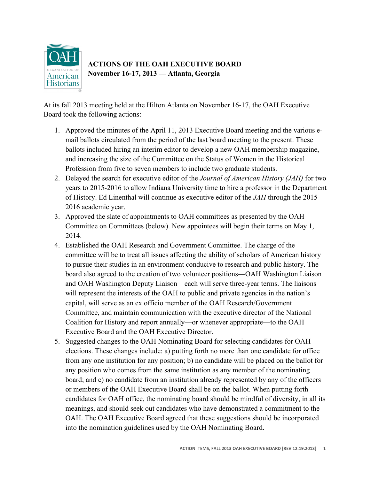

# **ACTIONS OF THE OAH EXECUTIVE BOARD November 16-17, 2013 — Atlanta, Georgia**

At its fall 2013 meeting held at the Hilton Atlanta on November 16-17, the OAH Executive Board took the following actions:

- 1. Approved the minutes of the April 11, 2013 Executive Board meeting and the various email ballots circulated from the period of the last board meeting to the present. These ballots included hiring an interim editor to develop a new OAH membership magazine, and increasing the size of the Committee on the Status of Women in the Historical Profession from five to seven members to include two graduate students.
- 2. Delayed the search for executive editor of the *Journal of American History (JAH)* for two years to 2015-2016 to allow Indiana University time to hire a professor in the Department of History. Ed Linenthal will continue as executive editor of the *JAH* through the 2015- 2016 academic year.
- 3. Approved the slate of appointments to OAH committees as presented by the OAH Committee on Committees (below). New appointees will begin their terms on May 1, 2014.
- 4. Established the OAH Research and Government Committee. The charge of the committee will be to treat all issues affecting the ability of scholars of American history to pursue their studies in an environment conducive to research and public history. The board also agreed to the creation of two volunteer positions—OAH Washington Liaison and OAH Washington Deputy Liaison—each will serve three-year terms. The liaisons will represent the interests of the OAH to public and private agencies in the nation's capital, will serve as an ex officio member of the OAH Research/Government Committee, and maintain communication with the executive director of the National Coalition for History and report annually—or whenever appropriate—to the OAH Executive Board and the OAH Executive Director.
- 5. Suggested changes to the OAH Nominating Board for selecting candidates for OAH elections. These changes include: a) putting forth no more than one candidate for office from any one institution for any position; b) no candidate will be placed on the ballot for any position who comes from the same institution as any member of the nominating board; and c) no candidate from an institution already represented by any of the officers or members of the OAH Executive Board shall be on the ballot. When putting forth candidates for OAH office, the nominating board should be mindful of diversity, in all its meanings, and should seek out candidates who have demonstrated a commitment to the OAH. The OAH Executive Board agreed that these suggestions should be incorporated into the nomination guidelines used by the OAH Nominating Board.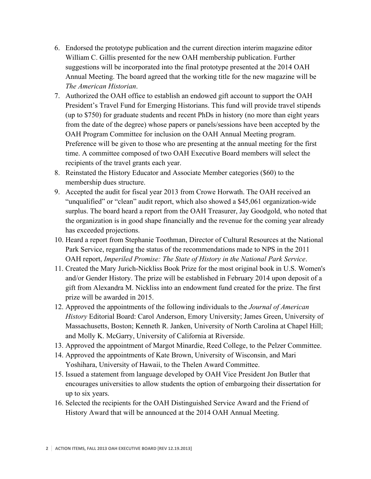- 6. Endorsed the prototype publication and the current direction interim magazine editor William C. Gillis presented for the new OAH membership publication. Further suggestions will be incorporated into the final prototype presented at the 2014 OAH Annual Meeting. The board agreed that the working title for the new magazine will be *The American Historian*.
- 7. Authorized the OAH office to establish an endowed gift account to support the OAH President's Travel Fund for Emerging Historians. This fund will provide travel stipends (up to \$750) for graduate students and recent PhDs in history (no more than eight years from the date of the degree) whose papers or panels/sessions have been accepted by the OAH Program Committee for inclusion on the OAH Annual Meeting program. Preference will be given to those who are presenting at the annual meeting for the first time. A committee composed of two OAH Executive Board members will select the recipients of the travel grants each year.
- 8. Reinstated the History Educator and Associate Member categories (\$60) to the membership dues structure.
- 9. Accepted the audit for fiscal year 2013 from Crowe Horwath. The OAH received an "unqualified" or "clean" audit report, which also showed a \$45,061 organization-wide surplus. The board heard a report from the OAH Treasurer, Jay Goodgold, who noted that the organization is in good shape financially and the revenue for the coming year already has exceeded projections.
- 10. Heard a report from Stephanie Toothman, Director of Cultural Resources at the National Park Service, regarding the status of the recommendations made to NPS in the 2011 OAH report, *Imperiled Promise: The State of History in the National Park Service*.
- 11. Created the Mary Jurich-Nickliss Book Prize for the most original book in U.S. Women's and/or Gender History. The prize will be established in February 2014 upon deposit of a gift from Alexandra M. Nickliss into an endowment fund created for the prize. The first prize will be awarded in 2015.
- 12. Approved the appointments of the following individuals to the *Journal of American History* Editorial Board: Carol Anderson, Emory University; James Green, University of Massachusetts, Boston; Kenneth R. Janken, University of North Carolina at Chapel Hill; and Molly K. McGarry, University of California at Riverside.
- 13. Approved the appointment of Margot Minardie, Reed College, to the Pelzer Committee.
- 14. Approved the appointments of Kate Brown, University of Wisconsin, and Mari Yoshihara, University of Hawaii, to the Thelen Award Committee.
- 15. Issued a statement from language developed by OAH Vice President Jon Butler that encourages universities to allow students the option of embargoing their dissertation for up to six years.
- 16. Selected the recipients for the OAH Distinguished Service Award and the Friend of History Award that will be announced at the 2014 OAH Annual Meeting.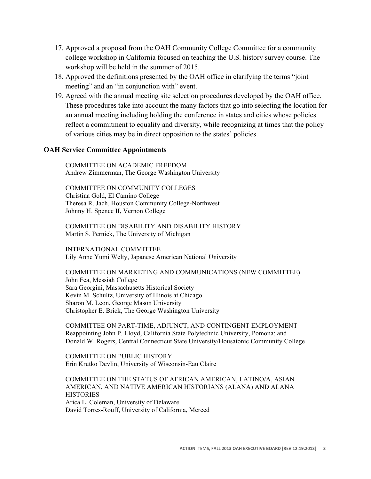- 17. Approved a proposal from the OAH Community College Committee for a community college workshop in California focused on teaching the U.S. history survey course. The workshop will be held in the summer of 2015.
- 18. Approved the definitions presented by the OAH office in clarifying the terms "joint meeting" and an "in conjunction with" event.
- 19. Agreed with the annual meeting site selection procedures developed by the OAH office. These procedures take into account the many factors that go into selecting the location for an annual meeting including holding the conference in states and cities whose policies reflect a commitment to equality and diversity, while recognizing at times that the policy of various cities may be in direct opposition to the states' policies.

# **OAH Service Committee Appointments**

COMMITTEE ON ACADEMIC FREEDOM Andrew Zimmerman, The George Washington University

COMMITTEE ON COMMUNITY COLLEGES Christina Gold, El Camino College Theresa R. Jach, Houston Community College-Northwest Johnny H. Spence II, Vernon College

COMMITTEE ON DISABILITY AND DISABILITY HISTORY Martin S. Pernick, The University of Michigan

INTERNATIONAL COMMITTEE Lily Anne Yumi Welty, Japanese American National University

COMMITTEE ON MARKETING AND COMMUNICATIONS (NEW COMMITTEE) John Fea, Messiah College Sara Georgini, Massachusetts Historical Society Kevin M. Schultz, University of Illinois at Chicago Sharon M. Leon, George Mason University Christopher E. Brick, The George Washington University

COMMITTEE ON PART-TIME, ADJUNCT, AND CONTINGENT EMPLOYMENT Reappointing John P. Lloyd, California State Polytechnic University, Pomona; and Donald W. Rogers, Central Connecticut State University/Housatonic Community College

COMMITTEE ON PUBLIC HISTORY Erin Krutko Devlin, University of Wisconsin-Eau Claire

COMMITTEE ON THE STATUS OF AFRICAN AMERICAN, LATINO/A, ASIAN AMERICAN, AND NATIVE AMERICAN HISTORIANS (ALANA) AND ALANA **HISTORIES** Arica L. Coleman, University of Delaware David Torres-Rouff, University of California, Merced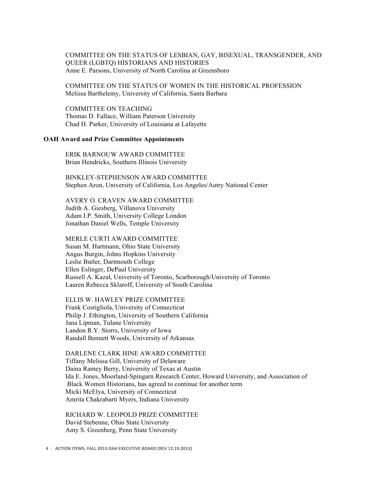### COMMITTEE ON THE STATUS OF LESBIAN, GAY, BISEXUAL, TRANSGENDER, AND QUEER (LGBTQ) HISTORIANS AND HISTORIES Anne E. Parsons, University of North Carolina at Greensboro

COMMITTEE ON THE STATUS OF WOMEN IN THE HISTORICAL PROFESSION Melissa Barthelemy, University of California, Santa Barbara

COMMITTEE ON TEACHING Thomas D. Fallace, William Paterson University Chad H. Parker, University of Louisiana at Lafayette

## **OAH Award and Prize Committee Appointments**

ERIK BARNOUW AWARD COMMITTEE Brian Hendricks, Southern Illinois University

BINKLEY-STEPHENSON AWARD COMMITTEE Stephen Aron, University of California, Los Angeles/Autry National Center

#### AVERY O. CRAVEN AWARD COMMITTEE

Judith A. Giesberg, Villanova University Adam I.P. Smith, University College London Jonathan Daniel Wells, Temple University

#### MERLE CURTI AWARD COMMITTEE

Susan M. Hartmann, Ohio State University Angus Burgin, Johns Hopkins University Leslie Butler, Dartmouth College Ellen Eslinger, DePaul University Russell A. Kazal, University of Toronto, Scarborough/University of Toronto Lauren Rebecca Sklaroff, University of South Carolina

ELLIS W. HAWLEY PRIZE COMMITTEE

Frank Costigliola, University of Connecticut Philip J. Ethington, University of Southern California Jana Lipman, Tulane University Landon R.Y. Storrs, University of Iowa Randall Bennett Woods, University of Arkansas

DARLENE CLARK HINE AWARD COMMITTEE Tiffany Melissa Gill, University of Delaware Daina Ramey Berry, University of Texas at Austin Ida E. Jones, Moorland-Spingarn Research Center, Howard University, and Association of Black Women Historians, has agreed to continue for another term Micki McElya, University of Connecticut Amrita Chakrabarti Myers, Indiana University

RICHARD W. LEOPOLD PRIZE COMMITTEE David Stebenne, Ohio State University Amy S. Greenberg, Penn State University